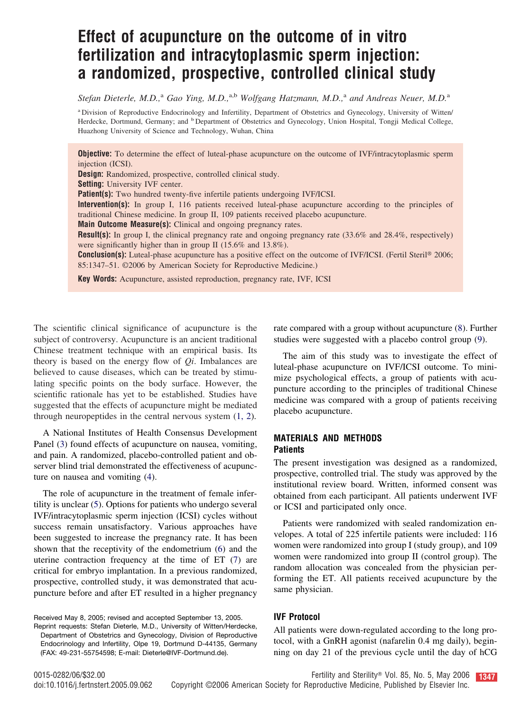# **Effect of acupuncture on the outcome of in vitro fertilization and intracytoplasmic sperm injection: a randomized, prospective, controlled clinical study**

*Stefan Dieterle, M.D.,*<sup>a</sup> *Gao Ying, M.D.,*a,b *Wolfgang Hatzmann, M.D.,*<sup>a</sup> *and Andreas Neuer, M.D.*<sup>a</sup>

<sup>a</sup> Division of Reproductive Endocrinology and Infertility, Department of Obstetrics and Gynecology, University of Witten/ Herdecke, Dortmund, Germany; and <sup>b</sup> Department of Obstetrics and Gynecology, Union Hospital, Tongji Medical College, Huazhong University of Science and Technology, Wuhan, China

**Objective:** To determine the effect of luteal-phase acupuncture on the outcome of IVF/intracytoplasmic sperm injection (ICSI).

**Design:** Randomized, prospective, controlled clinical study.

**Setting:** University IVF center.

Patient(s): Two hundred twenty-five infertile patients undergoing IVF/ICSI.

**Intervention(s):** In group I, 116 patients received luteal-phase acupuncture according to the principles of traditional Chinese medicine. In group II, 109 patients received placebo acupuncture.

**Main Outcome Measure(s):** Clinical and ongoing pregnancy rates.

**Result(s):** In group I, the clinical pregnancy rate and ongoing pregnancy rate (33.6% and 28.4%, respectively) were significantly higher than in group II (15.6% and 13.8%).

**Conclusion(s):** Luteal-phase acupuncture has a positive effect on the outcome of IVF/ICSI. (Fertil Steril<sup>®</sup> 2006; 85:1347–51. ©2006 by American Society for Reproductive Medicine.)

**Key Words:** Acupuncture, assisted reproduction, pregnancy rate, IVF, ICSI

The scientific clinical significance of acupuncture is the subject of controversy. Acupuncture is an ancient traditional Chinese treatment technique with an empirical basis. Its theory is based on the energy flow of *Qi*. Imbalances are believed to cause diseases, which can be treated by stimulating specific points on the body surface. However, the scientific rationale has yet to be established. Studies have suggested that the effects of acupuncture might be mediated through neuropeptides in the central nervous system [\(1, 2\)](#page-4-0).

A National Institutes of Health Consensus Development Panel [\(3\)](#page-4-0) found effects of acupuncture on nausea, vomiting, and pain. A randomized, placebo-controlled patient and observer blind trial demonstrated the effectiveness of acupuncture on nausea and vomiting [\(4\)](#page-4-0).

The role of acupuncture in the treatment of female infertility is unclear [\(5\)](#page-4-0). Options for patients who undergo several IVF/intracytoplasmic sperm injection (ICSI) cycles without success remain unsatisfactory. Various approaches have been suggested to increase the pregnancy rate. It has been shown that the receptivity of the endometrium [\(6\)](#page-4-0) and the uterine contraction frequency at the time of ET [\(7\)](#page-4-0) are critical for embryo implantation. In a previous randomized, prospective, controlled study, it was demonstrated that acupuncture before and after ET resulted in a higher pregnancy

Reprint requests: Stefan Dieterle, M.D., University of Witten/Herdecke, Department of Obstetrics and Gynecology, Division of Reproductive Endocrinology and Infertility, Olpe 19, Dortmund D-44135, Germany (FAX: 49-231-55754598; E-mail: Dieterle@IVF-Dortmund.de).

rate compared with a group without acupuncture [\(8\)](#page-4-0). Further studies were suggested with a placebo control group [\(9\)](#page-4-0).

The aim of this study was to investigate the effect of luteal-phase acupuncture on IVF/ICSI outcome. To minimize psychological effects, a group of patients with acupuncture according to the principles of traditional Chinese medicine was compared with a group of patients receiving placebo acupuncture.

#### **MATERIALS AND METHODS Patients**

The present investigation was designed as a randomized, prospective, controlled trial. The study was approved by the institutional review board. Written, informed consent was obtained from each participant. All patients underwent IVF or ICSI and participated only once.

Patients were randomized with sealed randomization envelopes. A total of 225 infertile patients were included: 116 women were randomized into group I (study group), and 109 women were randomized into group II (control group). The random allocation was concealed from the physician performing the ET. All patients received acupuncture by the same physician.

### **IVF Protocol**

All patients were down-regulated according to the long protocol, with a GnRH agonist (nafarelin 0.4 mg daily), beginning on day 21 of the previous cycle until the day of hCG

Received May 8, 2005; revised and accepted September 13, 2005.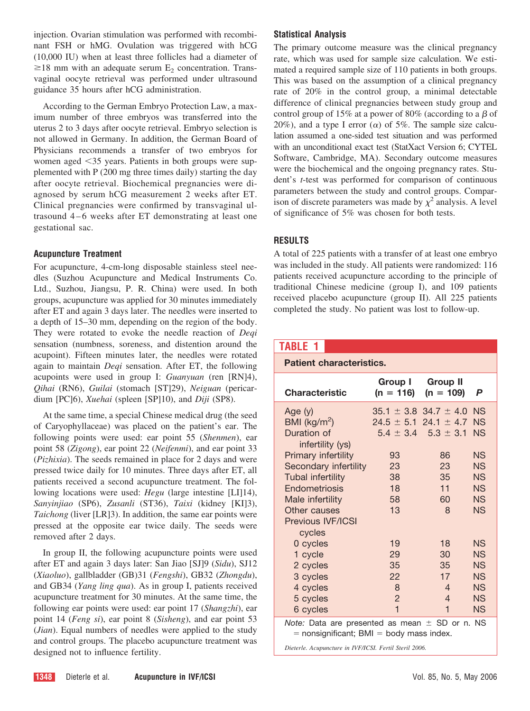<span id="page-1-0"></span>injection. Ovarian stimulation was performed with recombinant FSH or hMG. Ovulation was triggered with hCG (10,000 IU) when at least three follicles had a diameter of  $\geq$ 18 mm with an adequate serum E<sub>2</sub> concentration. Transvaginal oocyte retrieval was performed under ultrasound guidance 35 hours after hCG administration.

According to the German Embryo Protection Law, a maximum number of three embryos was transferred into the uterus 2 to 3 days after oocyte retrieval. Embryo selection is not allowed in Germany. In addition, the German Board of Physicians recommends a transfer of two embryos for women aged 35 years. Patients in both groups were supplemented with P (200 mg three times daily) starting the day after oocyte retrieval. Biochemical pregnancies were diagnosed by serum hCG measurement 2 weeks after ET. Clinical pregnancies were confirmed by transvaginal ultrasound 4–6 weeks after ET demonstrating at least one gestational sac.

# **Acupuncture Treatment**

For acupuncture, 4-cm-long disposable stainless steel needles (Suzhou Acupuncture and Medical Instruments Co. Ltd., Suzhou, Jiangsu, P. R. China) were used. In both groups, acupuncture was applied for 30 minutes immediately after ET and again 3 days later. The needles were inserted to a depth of 15–30 mm, depending on the region of the body. They were rotated to evoke the needle reaction of *Deqi* sensation (numbness, soreness, and distention around the acupoint). Fifteen minutes later, the needles were rotated again to maintain *Deqi* sensation. After ET, the following acupoints were used in group I: *Guanyuan* (ren [RN]4), *Qihai* (RN6), *Guilai* (stomach [ST]29), *Neiguan* (pericardium [PC]6), *Xuehai* (spleen [SP]10), and *Diji* (SP8).

At the same time, a special Chinese medical drug (the seed of Caryophyllaceae) was placed on the patient's ear. The following points were used: ear point 55 (*Shenmen*), ear point 58 (*Zigong*), ear point 22 (*Neifenmi*), and ear point 33 (*Pizhixia*). The seeds remained in place for 2 days and were pressed twice daily for 10 minutes. Three days after ET, all patients received a second acupuncture treatment. The following locations were used: *Hegu* (large intestine [LI]14), *Sanyinjiao* (SP6), *Zusanli* (ST36), *Taixi* (kidney [KI]3), *Taichong* (liver [LR]3). In addition, the same ear points were pressed at the opposite ear twice daily. The seeds were removed after 2 days.

In group II, the following acupuncture points were used after ET and again 3 days later: San Jiao [SJ]9 (*Sidu*), SJ12 (*Xiaoluo*), gallbladder (GB)31 (*Fengshi*), GB32 (*Zhongdu*), and GB34 (*Yang ling qua*). As in group I, patients received acupuncture treatment for 30 minutes. At the same time, the following ear points were used: ear point 17 (*Shangzhi*), ear point 14 (*Feng si*), ear point 8 (*Sisheng*), and ear point 53 (*Jian*). Equal numbers of needles were applied to the study and control groups. The placebo acupuncture treatment was designed not to influence fertility.

# **Statistical Analysis**

The primary outcome measure was the clinical pregnancy rate, which was used for sample size calculation. We estimated a required sample size of 110 patients in both groups. This was based on the assumption of a clinical pregnancy rate of 20% in the control group, a minimal detectable difference of clinical pregnancies between study group and control group of 15% at a power of 80% (according to a  $\beta$  of 20%), and a type I error ( $\alpha$ ) of 5%. The sample size calculation assumed a one-sided test situation and was performed with an unconditional exact test (StatXact Version 6; CYTEL Software, Cambridge, MA). Secondary outcome measures were the biochemical and the ongoing pregnancy rates. Student's *t*-test was performed for comparison of continuous parameters between the study and control groups. Comparison of discrete parameters was made by  $\chi^2$  analysis. A level of significance of 5% was chosen for both tests.

# **RESULTS**

A total of 225 patients with a transfer of at least one embryo was included in the study. All patients were randomized: 116 patients received acupuncture according to the principle of traditional Chinese medicine (group I), and 109 patients received placebo acupuncture (group II). All 225 patients completed the study. No patient was lost to follow-up.

# **TABLE 1**

**Patient characteristics.**

| <b>Characteristic</b>                                                                                                                  | <b>Group I</b><br>$(n = 116)$ | <b>Group II</b><br>$(n = 109)$   | P         |  |
|----------------------------------------------------------------------------------------------------------------------------------------|-------------------------------|----------------------------------|-----------|--|
| Age $(y)$                                                                                                                              |                               | $35.1 \pm 3.8$ 34.7 $\pm$ 4.0 NS |           |  |
| BMI ( $kg/m2$ )                                                                                                                        |                               | $24.5 \pm 5.1$ 24.1 $\pm$ 4.7    | <b>NS</b> |  |
| Duration of                                                                                                                            | $5.4 \pm 3.4$                 | $5.3 \pm 3.1$                    | <b>NS</b> |  |
| infertility (ys)                                                                                                                       |                               |                                  |           |  |
| Primary infertility                                                                                                                    | 93                            | 86                               | <b>NS</b> |  |
| Secondary infertility                                                                                                                  | 23                            | 23                               | <b>NS</b> |  |
| Tubal infertility                                                                                                                      | 38                            | 35                               | <b>NS</b> |  |
| Endometriosis                                                                                                                          | 18                            | 11                               | <b>NS</b> |  |
| Male infertility                                                                                                                       | 58                            | 60                               | <b>NS</b> |  |
| Other causes                                                                                                                           | 13                            | 8                                | <b>NS</b> |  |
| Previous IVF/ICSI                                                                                                                      |                               |                                  |           |  |
| cycles                                                                                                                                 |                               |                                  |           |  |
| 0 cycles                                                                                                                               | 19                            | 18                               | <b>NS</b> |  |
| 1 cycle                                                                                                                                | 29                            | 30                               | <b>NS</b> |  |
| 2 cycles                                                                                                                               | 35                            | 35                               | <b>NS</b> |  |
| 3 cycles                                                                                                                               | 22                            | 17                               | <b>NS</b> |  |
| 4 cycles                                                                                                                               | 8                             | 4                                | <b>NS</b> |  |
| 5 cycles                                                                                                                               | $\overline{2}$                | 4                                | <b>NS</b> |  |
| 6 cycles                                                                                                                               | $\mathbf{1}$                  | 1                                | <b>NS</b> |  |
| <i>Note:</i> Data are presented as mean $\pm$ SD or n. NS<br>and all and the actual to DNAH and the selection and actual activities of |                               |                                  |           |  |

 $=$  nonsignificant; BMI  $=$  body mass index.

*Dieterle. Acupuncture in IVF/ICSI. Fertil Steril 2006.*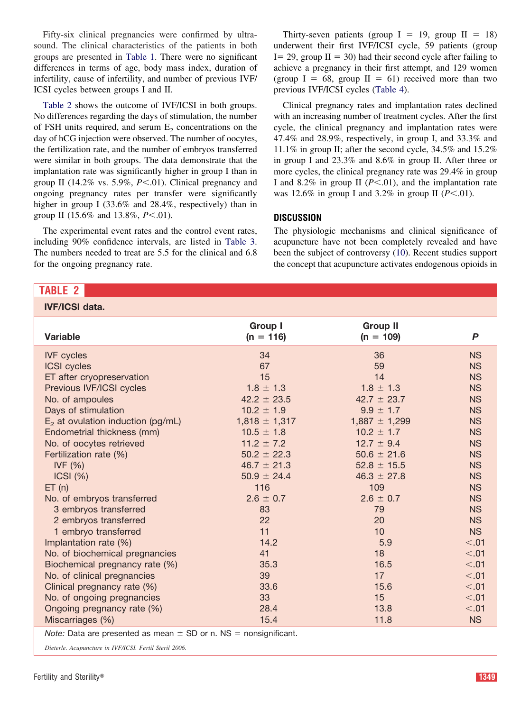Fifty-six clinical pregnancies were confirmed by ultrasound. The clinical characteristics of the patients in both groups are presented in [Table 1.](#page-1-0) There were no significant differences in terms of age, body mass index, duration of infertility, cause of infertility, and number of previous IVF/ ICSI cycles between groups I and II.

Table 2 shows the outcome of IVF/ICSI in both groups. No differences regarding the days of stimulation, the number of FSH units required, and serum  $E<sub>2</sub>$  concentrations on the day of hCG injection were observed. The number of oocytes, the fertilization rate, and the number of embryos transferred were similar in both groups. The data demonstrate that the implantation rate was significantly higher in group I than in group II (14.2% vs. 5.9%,  $P \le 01$ ). Clinical pregnancy and ongoing pregnancy rates per transfer were significantly higher in group I (33.6% and 28.4%, respectively) than in group II (15.6% and 13.8%, *P*<.01).

The experimental event rates and the control event rates, including 90% confidence intervals, are listed in [Table 3.](#page-3-0) The numbers needed to treat are 5.5 for the clinical and 6.8 for the ongoing pregnancy rate.

# Thirty-seven patients (group  $I = 19$ , group  $II = 18$ ) underwent their first IVF/ICSI cycle, 59 patients (group  $I = 29$ , group  $II = 30$ ) had their second cycle after failing to achieve a pregnancy in their first attempt, and 129 women (group  $I = 68$ , group  $II = 61$ ) received more than two previous IVF/ICSI cycles [\(Table 4\)](#page-3-0).

Clinical pregnancy rates and implantation rates declined with an increasing number of treatment cycles. After the first cycle, the clinical pregnancy and implantation rates were 47.4% and 28.9%, respectively, in group I, and 33.3% and 11.1% in group II; after the second cycle, 34.5% and 15.2% in group I and 23.3% and 8.6% in group II. After three or more cycles, the clinical pregnancy rate was 29.4% in group I and 8.2% in group II  $(P<.01)$ , and the implantation rate was 12.6% in group I and 3.2% in group II  $(P<.01)$ .

# **DISCUSSION**

The physiologic mechanisms and clinical significance of acupuncture have not been completely revealed and have been the subject of controversy [\(10\)](#page-4-0). Recent studies support the concept that acupuncture activates endogenous opioids in

**IVF/ICSI data.**

| <u>IVE/ICSI data.</u>                |                               |                                |           |
|--------------------------------------|-------------------------------|--------------------------------|-----------|
| <b>Variable</b>                      | <b>Group I</b><br>$(n = 116)$ | <b>Group II</b><br>$(n = 109)$ | P         |
| <b>IVF</b> cycles                    | 34                            | 36                             | <b>NS</b> |
| <b>ICSI</b> cycles                   | 67                            | 59                             | <b>NS</b> |
| ET after cryopreservation            | 15                            | 14                             | <b>NS</b> |
| Previous IVF/ICSI cycles             | $1.8 \pm 1.3$                 | $1.8 \pm 1.3$                  | <b>NS</b> |
| No. of ampoules                      | $42.2 \pm 23.5$               | $42.7 \pm 23.7$                | <b>NS</b> |
| Days of stimulation                  | $10.2 \pm 1.9$                | $9.9 \pm 1.7$                  | <b>NS</b> |
| $E_2$ at ovulation induction (pg/mL) | $1,818 \pm 1,317$             | $1,887 \pm 1,299$              | <b>NS</b> |
| Endometrial thickness (mm)           | $10.5 \pm 1.8$                | $10.2 \pm 1.7$                 | <b>NS</b> |
| No. of oocytes retrieved             | $11.2 \pm 7.2$                | $12.7 \pm 9.4$                 | <b>NS</b> |
| Fertilization rate (%)               | $50.2 \pm 22.3$               | $50.6 \pm 21.6$                | <b>NS</b> |
| IVF $(%)$                            | $46.7 \pm 21.3$               | $52.8 \pm 15.5$                | <b>NS</b> |
| ICSI (%)                             | $50.9 \pm 24.4$               | $46.3 \pm 27.8$                | <b>NS</b> |
| ET(n)                                | 116                           | 109                            | <b>NS</b> |
| No. of embryos transferred           | $2.6 \pm 0.7$                 | $2.6 \pm 0.7$                  | <b>NS</b> |
| 3 embryos transferred                | 83                            | 79                             | <b>NS</b> |
| 2 embryos transferred                | 22                            | 20                             | <b>NS</b> |
| 1 embryo transferred                 | 11                            | 10                             | <b>NS</b> |
| Implantation rate (%)                | 14.2                          | 5.9                            | < 0.01    |
| No. of biochemical pregnancies       | 41                            | 18                             | < 0.01    |
| Biochemical pregnancy rate (%)       | 35.3                          | 16.5                           | < 0.01    |
| No. of clinical pregnancies          | 39                            | 17                             | < 0.01    |
| Clinical pregnancy rate (%)          | 33.6                          | 15.6                           | < 0.01    |
| No. of ongoing pregnancies           | 33                            | 15                             | < 0.01    |
| Ongoing pregnancy rate (%)           | 28.4                          | 13.8                           | < 0.01    |
| Miscarriages (%)                     | 15.4                          | 11.8                           | <b>NS</b> |
|                                      |                               |                                |           |

*Note:* Data are presented as mean  $\pm$  SD or n. NS = nonsignificant.

*Dieterle. Acupuncture in IVF/ICSI. Fertil Steril 2006.*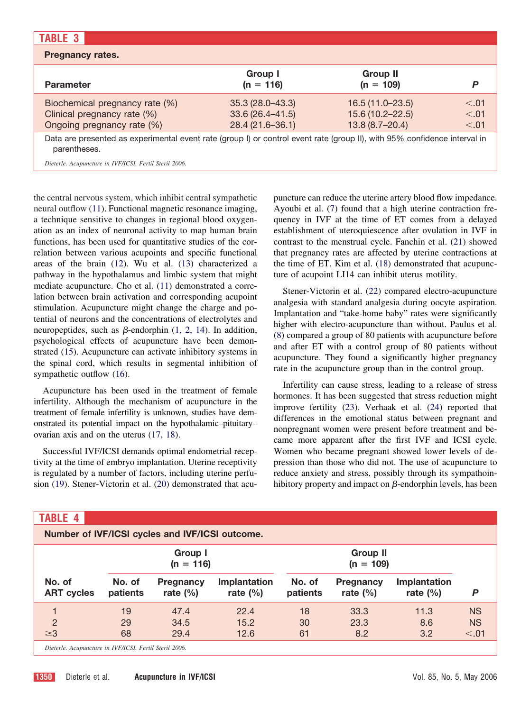<span id="page-3-0"></span>

| <b>TABLE 3</b>                                                                                                                                                                                      |                                                                |                                                                |                           |
|-----------------------------------------------------------------------------------------------------------------------------------------------------------------------------------------------------|----------------------------------------------------------------|----------------------------------------------------------------|---------------------------|
| <b>Pregnancy rates.</b>                                                                                                                                                                             |                                                                |                                                                |                           |
| <b>Parameter</b>                                                                                                                                                                                    | Group I<br>$(n = 116)$                                         | <b>Group II</b><br>$(n = 109)$                                 | P                         |
| Biochemical pregnancy rate (%)<br>Clinical pregnancy rate (%)<br>Ongoing pregnancy rate (%)                                                                                                         | $35.3(28.0 - 43.3)$<br>$33.6(26.4 - 41.5)$<br>28.4 (21.6-36.1) | $16.5(11.0-23.5)$<br>$15.6(10.2 - 22.5)$<br>$13.8(8.7 - 20.4)$ | < 0.01<br>< .01<br>< 0.01 |
| Data are presented as experimental event rate (group I) or control event rate (group II), with 95% confidence interval in<br>parentheses.<br>Dieterle, Acupuncture in IVF/ICSI, Fertil Steril 2006. |                                                                |                                                                |                           |

the central nervous system, which inhibit central sympathetic neural outflow [\(11\)](#page-4-0). Functional magnetic resonance imaging, a technique sensitive to changes in regional blood oxygenation as an index of neuronal activity to map human brain functions, has been used for quantitative studies of the correlation between various acupoints and specific functional areas of the brain [\(12\)](#page-4-0). Wu et al. [\(13\)](#page-4-0) characterized a pathway in the hypothalamus and limbic system that might mediate acupuncture. Cho et al. [\(11\)](#page-4-0) demonstrated a correlation between brain activation and corresponding acupoint stimulation. Acupuncture might change the charge and potential of neurons and the concentrations of electrolytes and neuropeptides, such as  $\beta$ -endorphin [\(1, 2, 14\)](#page-4-0). In addition, psychological effects of acupuncture have been demonstrated [\(15\)](#page-4-0). Acupuncture can activate inhibitory systems in the spinal cord, which results in segmental inhibition of sympathetic outflow  $(16)$ .

Acupuncture has been used in the treatment of female infertility. Although the mechanism of acupuncture in the treatment of female infertility is unknown, studies have demonstrated its potential impact on the hypothalamic–pituitary– ovarian axis and on the uterus [\(17, 18\)](#page-4-0).

Successful IVF/ICSI demands optimal endometrial receptivity at the time of embryo implantation. Uterine receptivity is regulated by a number of factors, including uterine perfusion [\(19\)](#page-4-0). Stener-Victorin et al. [\(20\)](#page-4-0) demonstrated that acupuncture can reduce the uterine artery blood flow impedance. Ayoubi et al. [\(7\)](#page-4-0) found that a high uterine contraction frequency in IVF at the time of ET comes from a delayed establishment of uteroquiescence after ovulation in IVF in contrast to the menstrual cycle. Fanchin et al. [\(21\)](#page-4-0) showed that pregnancy rates are affected by uterine contractions at the time of ET. Kim et al. [\(18\)](#page-4-0) demonstrated that acupuncture of acupoint LI14 can inhibit uterus motility.

Stener-Victorin et al. [\(22\)](#page-4-0) compared electro-acupuncture analgesia with standard analgesia during oocyte aspiration. Implantation and "take-home baby" rates were significantly higher with electro-acupuncture than without. Paulus et al. [\(8\)](#page-4-0) compared a group of 80 patients with acupuncture before and after ET with a control group of 80 patients without acupuncture. They found a significantly higher pregnancy rate in the acupuncture group than in the control group.

Infertility can cause stress, leading to a release of stress hormones. It has been suggested that stress reduction might improve fertility [\(23\)](#page-4-0). Verhaak et al. [\(24\)](#page-4-0) reported that differences in the emotional status between pregnant and nonpregnant women were present before treatment and became more apparent after the first IVF and ICSI cycle. Women who became pregnant showed lower levels of depression than those who did not. The use of acupuncture to reduce anxiety and stress, possibly through its sympathoinhibitory property and impact on  $\beta$ -endorphin levels, has been

| <b>TABLE 4</b>                                         |                        |                                 |                                |                    |                                  |                             |           |
|--------------------------------------------------------|------------------------|---------------------------------|--------------------------------|--------------------|----------------------------------|-----------------------------|-----------|
| Number of IVF/ICSI cycles and IVF/ICSI outcome.        |                        |                                 |                                |                    |                                  |                             |           |
|                                                        | Group I<br>$(n = 116)$ |                                 | <b>Group II</b><br>$(n = 109)$ |                    |                                  |                             |           |
| No. of<br><b>ART cycles</b>                            | No. of<br>patients     | <b>Pregnancy</b><br>rate $(\%)$ | Implantation<br>rate $(\%)$    | No. of<br>patients | <b>Pregnancy</b><br>rate $(\% )$ | Implantation<br>rate $(\%)$ | P         |
|                                                        | 19                     | 47.4                            | 22.4                           | 18                 | 33.3                             | 11.3                        | <b>NS</b> |
| $\overline{2}$                                         | 29                     | 34.5                            | 15.2                           | 30                 | 23.3                             | 8.6                         | <b>NS</b> |
| $\geq 3$                                               | 68                     | 29.4                            | 12.6                           | 61                 | 8.2                              | 3.2                         | < 0.01    |
| Dieterle. Acupuncture in IVF/ICSI. Fertil Steril 2006. |                        |                                 |                                |                    |                                  |                             |           |